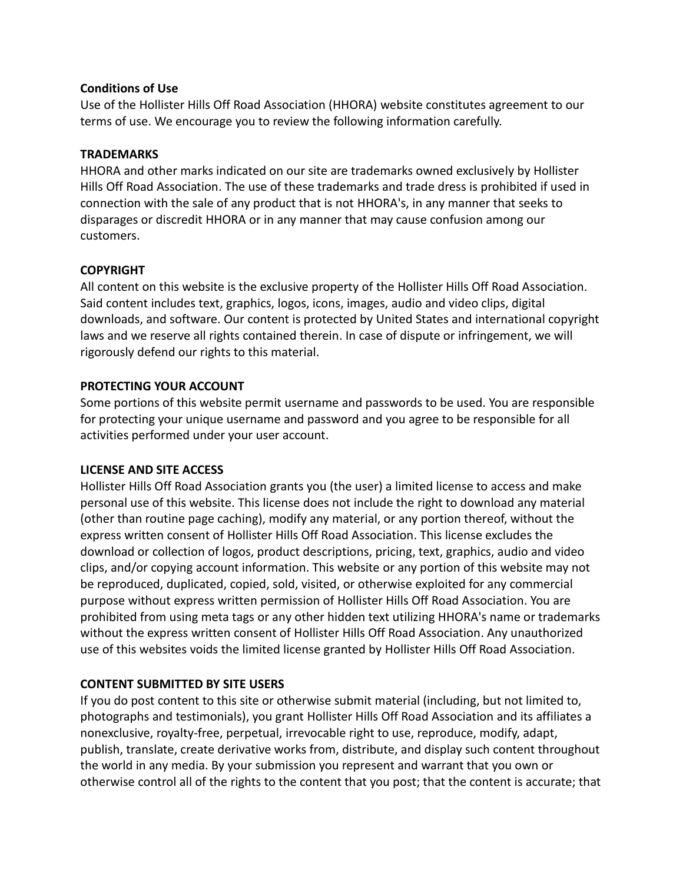## **Conditions of Use**

Use of the Hollister Hills Off Road Association (HHORA) website constitutes agreement to our terms of use. We encourage you to review the following information carefully.

## **TRADEMARKS**

HHORA and other marks indicated on our site are trademarks owned exclusively by Hollister Hills Off Road Association. The use of these trademarks and trade dress is prohibited if used in connection with the sale of any product that is not HHORA's, in any manner that seeks to disparages or discredit HHORA or in any manner that may cause confusion among our customers.

# **COPYRIGHT**

All content on this website is the exclusive property of the Hollister Hills Off Road Association. Said content includes text, graphics, logos, icons, images, audio and video clips, digital downloads, and software. Our content is protected by United States and international copyright laws and we reserve all rights contained therein. In case of dispute or infringement, we will rigorously defend our rights to this material.

# **PROTECTING YOUR ACCOUNT**

Some portions of this website permit username and passwords to be used. You are responsible for protecting your unique username and password and you agree to be responsible for all activities performed under your user account.

## **LICENSE AND SITE ACCESS**

Hollister Hills Off Road Association grants you (the user) a limited license to access and make personal use of this website. This license does not include the right to download any material (other than routine page caching), modify any material, or any portion thereof, without the express written consent of Hollister Hills Off Road Association. This license excludes the download or collection of logos, product descriptions, pricing, text, graphics, audio and video clips, and/or copying account information. This website or any portion of this website may not be reproduced, duplicated, copied, sold, visited, or otherwise exploited for any commercial purpose without express written permission of Hollister Hills Off Road Association. You are prohibited from using meta tags or any other hidden text utilizing HHORA's name or trademarks without the express written consent of Hollister Hills Off Road Association. Any unauthorized use of this websites voids the limited license granted by Hollister Hills Off Road Association.

# **CONTENT SUBMITTED BY SITE USERS**

If you do post content to this site or otherwise submit material (including, but not limited to, photographs and testimonials), you grant Hollister Hills Off Road Association and its affiliates a nonexclusive, royalty-free, perpetual, irrevocable right to use, reproduce, modify, adapt, publish, translate, create derivative works from, distribute, and display such content throughout the world in any media. By your submission you represent and warrant that you own or otherwise control all of the rights to the content that you post; that the content is accurate; that